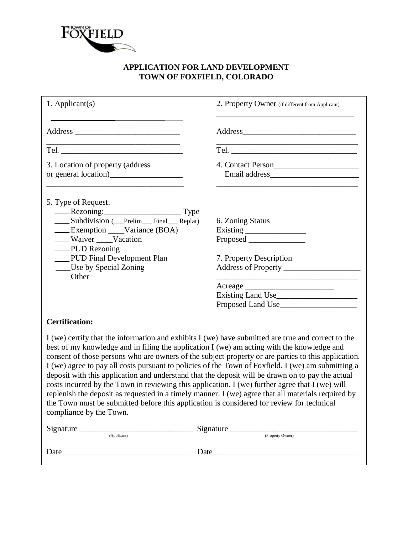

## **APPLICATION FOR LAND DEVELOPMENT TOWN OF FOXFIELD, COLORADO**

| 1. Applicant $(s)$                                                                                                                                                                                                                                                                                                    | 2. Property Owner (if different from Applicant)                                                                                                                                                                                                                                                                                                                                                                                                                                                                           |
|-----------------------------------------------------------------------------------------------------------------------------------------------------------------------------------------------------------------------------------------------------------------------------------------------------------------------|---------------------------------------------------------------------------------------------------------------------------------------------------------------------------------------------------------------------------------------------------------------------------------------------------------------------------------------------------------------------------------------------------------------------------------------------------------------------------------------------------------------------------|
|                                                                                                                                                                                                                                                                                                                       |                                                                                                                                                                                                                                                                                                                                                                                                                                                                                                                           |
|                                                                                                                                                                                                                                                                                                                       |                                                                                                                                                                                                                                                                                                                                                                                                                                                                                                                           |
| 3. Location of property (address                                                                                                                                                                                                                                                                                      | 4. Contact Person                                                                                                                                                                                                                                                                                                                                                                                                                                                                                                         |
| 5. Type of Request.                                                                                                                                                                                                                                                                                                   | 6. Zoning Status                                                                                                                                                                                                                                                                                                                                                                                                                                                                                                          |
| <b>Exemption</b> ____Variance (BOA)<br>- Waiver ____Vacation                                                                                                                                                                                                                                                          |                                                                                                                                                                                                                                                                                                                                                                                                                                                                                                                           |
| — PUD Rezoning<br>PUD Final Development Plan<br>Use by Special Zoning<br>____Other                                                                                                                                                                                                                                    | 7. Property Description                                                                                                                                                                                                                                                                                                                                                                                                                                                                                                   |
|                                                                                                                                                                                                                                                                                                                       |                                                                                                                                                                                                                                                                                                                                                                                                                                                                                                                           |
|                                                                                                                                                                                                                                                                                                                       |                                                                                                                                                                                                                                                                                                                                                                                                                                                                                                                           |
| <b>Certification:</b>                                                                                                                                                                                                                                                                                                 |                                                                                                                                                                                                                                                                                                                                                                                                                                                                                                                           |
| best of my knowledge and in filing the application I (we) am acting with the knowledge and<br>costs incurred by the Town in reviewing this application. I (we) further agree that I (we) will<br>the Town must be submitted before this application is considered for review for technical<br>compliance by the Town. | I (we) certify that the information and exhibits I (we) have submitted are true and correct to the<br>consent of those persons who are owners of the subject property or are parties to this application.<br>I (we) agree to pay all costs pursuant to policies of the Town of Foxfield. I (we) am submitting a<br>deposit with this application and understand that the deposit will be drawn on to pay the actual<br>replenish the deposit as requested in a timely manner. I (we) agree that all materials required by |
| Signature Signature (Applicant) Signature (Property Owner)                                                                                                                                                                                                                                                            |                                                                                                                                                                                                                                                                                                                                                                                                                                                                                                                           |
|                                                                                                                                                                                                                                                                                                                       |                                                                                                                                                                                                                                                                                                                                                                                                                                                                                                                           |

| 101 | и |
|-----|---|
|     |   |